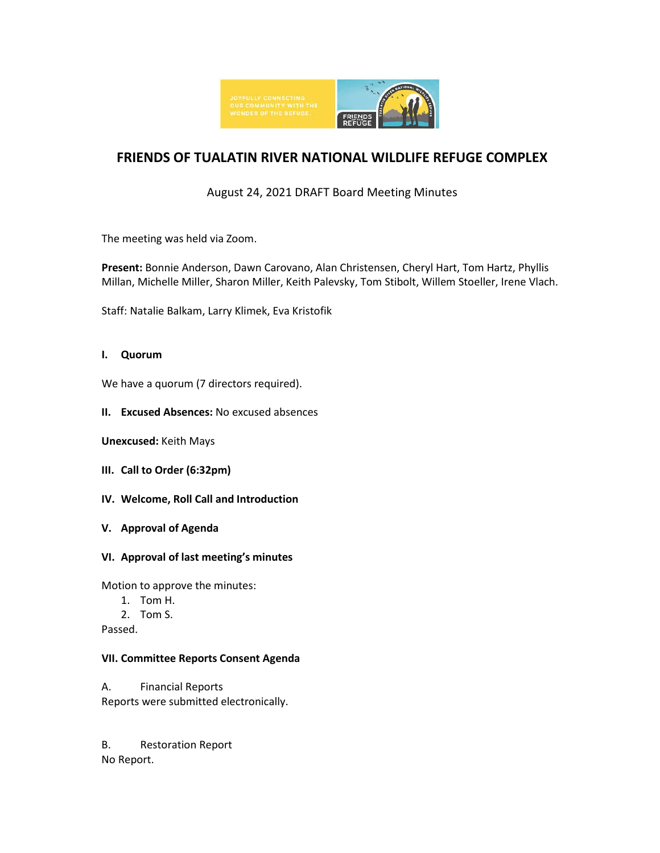

# **FRIENDS OF TUALATIN RIVER NATIONAL WILDLIFE REFUGE COMPLEX**

# August 24, 2021 DRAFT Board Meeting Minutes

The meeting was held via Zoom.

**Present:** Bonnie Anderson, Dawn Carovano, Alan Christensen, Cheryl Hart, Tom Hartz, Phyllis Millan, Michelle Miller, Sharon Miller, Keith Palevsky, Tom Stibolt, Willem Stoeller, Irene Vlach.

Staff: Natalie Balkam, Larry Klimek, Eva Kristofik

# **I. Quorum**

We have a quorum (7 directors required).

**II. Excused Absences:** No excused absences

**Unexcused:** Keith Mays

- **III. Call to Order (6:32pm)**
- **IV. Welcome, Roll Call and Introduction**
- **V. Approval of Agenda**
- **VI. Approval of last meeting's minutes**

Motion to approve the minutes:

- 1. Tom H.
- 2. Tom S.

Passed.

#### **VII. Committee Reports Consent Agenda**

A. Financial Reports Reports were submitted electronically.

B. Restoration Report No Report.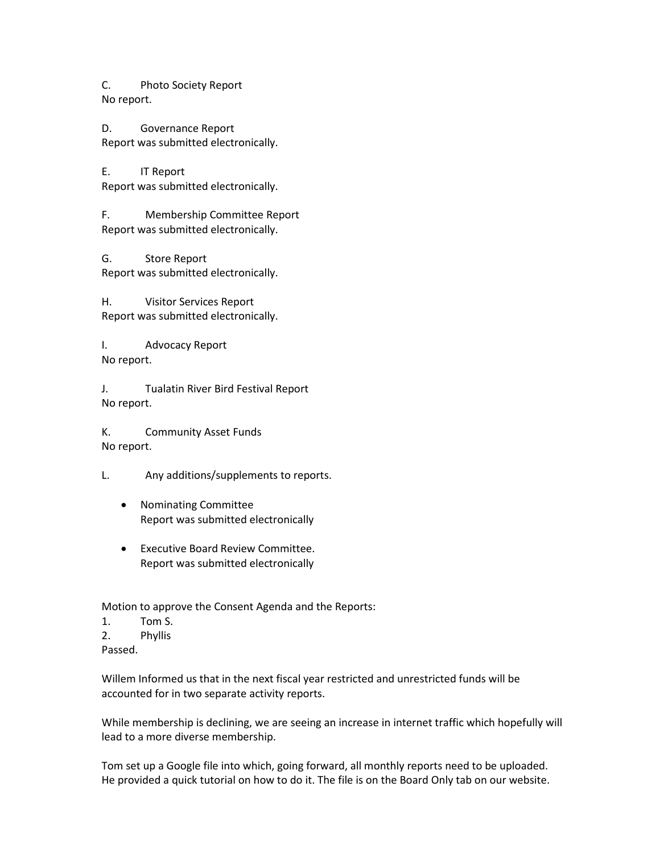C. Photo Society Report No report.

D. Governance Report Report was submitted electronically.

E. IT Report Report was submitted electronically.

F. Membership Committee Report Report was submitted electronically.

G. Store Report Report was submitted electronically.

H. Visitor Services Report Report was submitted electronically.

I. Advocacy Report No report.

J. Tualatin River Bird Festival Report No report.

K. Community Asset Funds No report.

L. Any additions/supplements to reports.

- Nominating Committee Report was submitted electronically
- Executive Board Review Committee. Report was submitted electronically

Motion to approve the Consent Agenda and the Reports:

- 1. Tom S.
- 2. Phyllis
- Passed.

Willem Informed us that in the next fiscal year restricted and unrestricted funds will be accounted for in two separate activity reports.

While membership is declining, we are seeing an increase in internet traffic which hopefully will lead to a more diverse membership.

Tom set up a Google file into which, going forward, all monthly reports need to be uploaded. He provided a quick tutorial on how to do it. The file is on the Board Only tab on our website.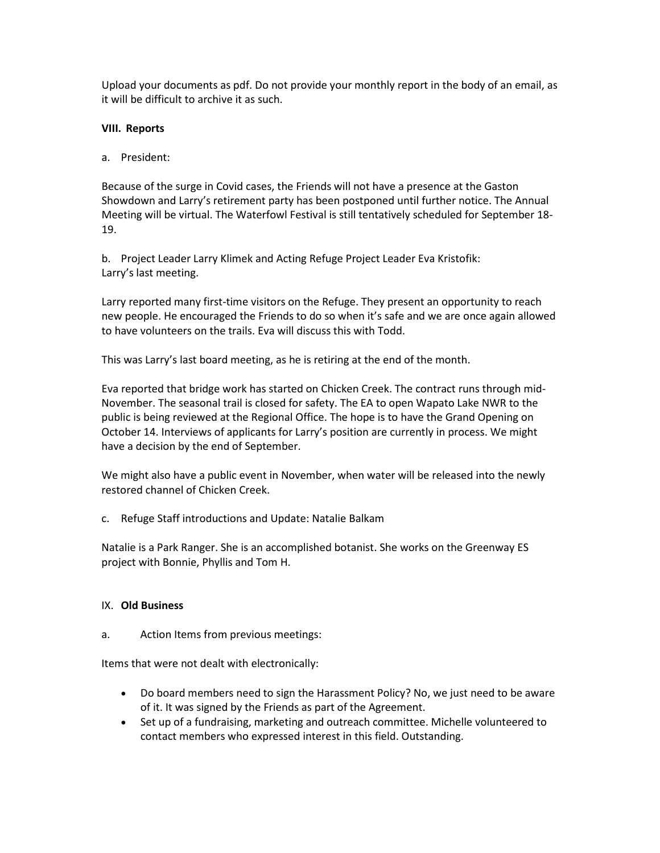Upload your documents as pdf. Do not provide your monthly report in the body of an email, as it will be difficult to archive it as such.

# **VIII. Reports**

# a. President:

Because of the surge in Covid cases, the Friends will not have a presence at the Gaston Showdown and Larry's retirement party has been postponed until further notice. The Annual Meeting will be virtual. The Waterfowl Festival is still tentatively scheduled for September 18- 19.

b. Project Leader Larry Klimek and Acting Refuge Project Leader Eva Kristofik: Larry's last meeting.

Larry reported many first-time visitors on the Refuge. They present an opportunity to reach new people. He encouraged the Friends to do so when it's safe and we are once again allowed to have volunteers on the trails. Eva will discuss this with Todd.

This was Larry's last board meeting, as he is retiring at the end of the month.

Eva reported that bridge work has started on Chicken Creek. The contract runs through mid-November. The seasonal trail is closed for safety. The EA to open Wapato Lake NWR to the public is being reviewed at the Regional Office. The hope is to have the Grand Opening on October 14. Interviews of applicants for Larry's position are currently in process. We might have a decision by the end of September.

We might also have a public event in November, when water will be released into the newly restored channel of Chicken Creek.

c. Refuge Staff introductions and Update: Natalie Balkam

Natalie is a Park Ranger. She is an accomplished botanist. She works on the Greenway ES project with Bonnie, Phyllis and Tom H.

# IX. **Old Business**

a. Action Items from previous meetings:

Items that were not dealt with electronically:

- Do board members need to sign the Harassment Policy? No, we just need to be aware of it. It was signed by the Friends as part of the Agreement.
- Set up of a fundraising, marketing and outreach committee. Michelle volunteered to contact members who expressed interest in this field. Outstanding.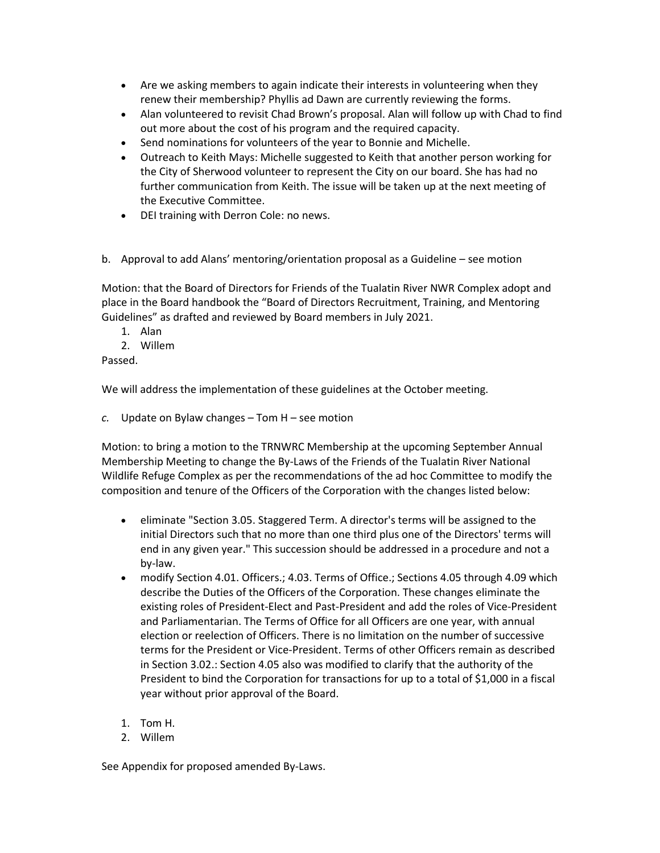- Are we asking members to again indicate their interests in volunteering when they renew their membership? Phyllis ad Dawn are currently reviewing the forms.
- Alan volunteered to revisit Chad Brown's proposal. Alan will follow up with Chad to find out more about the cost of his program and the required capacity.
- Send nominations for volunteers of the year to Bonnie and Michelle.
- Outreach to Keith Mays: Michelle suggested to Keith that another person working for the City of Sherwood volunteer to represent the City on our board. She has had no further communication from Keith. The issue will be taken up at the next meeting of the Executive Committee.
- DEI training with Derron Cole: no news.
- b. Approval to add Alans' mentoring/orientation proposal as a Guideline see motion

Motion: that the Board of Directors for Friends of the Tualatin River NWR Complex adopt and place in the Board handbook the "Board of Directors Recruitment, Training, and Mentoring Guidelines" as drafted and reviewed by Board members in July 2021.

- 1. Alan
- 2. Willem

Passed.

We will address the implementation of these guidelines at the October meeting.

*c.* Update on Bylaw changes – Tom H – see motion

Motion: to bring a motion to the TRNWRC Membership at the upcoming September Annual Membership Meeting to change the By-Laws of the Friends of the Tualatin River National Wildlife Refuge Complex as per the recommendations of the ad hoc Committee to modify the composition and tenure of the Officers of the Corporation with the changes listed below:

- eliminate "Section 3.05. Staggered Term. A director's terms will be assigned to the initial Directors such that no more than one third plus one of the Directors' terms will end in any given year." This succession should be addressed in a procedure and not a by-law.
- modify Section 4.01. Officers.; 4.03. Terms of Office.; Sections 4.05 through 4.09 which describe the Duties of the Officers of the Corporation. These changes eliminate the existing roles of President-Elect and Past-President and add the roles of Vice-President and Parliamentarian. The Terms of Office for all Officers are one year, with annual election or reelection of Officers. There is no limitation on the number of successive terms for the President or Vice-President. Terms of other Officers remain as described in Section 3.02.: Section 4.05 also was modified to clarify that the authority of the President to bind the Corporation for transactions for up to a total of \$1,000 in a fiscal year without prior approval of the Board.
- 1. Tom H.
- 2. Willem

See Appendix for proposed amended By-Laws.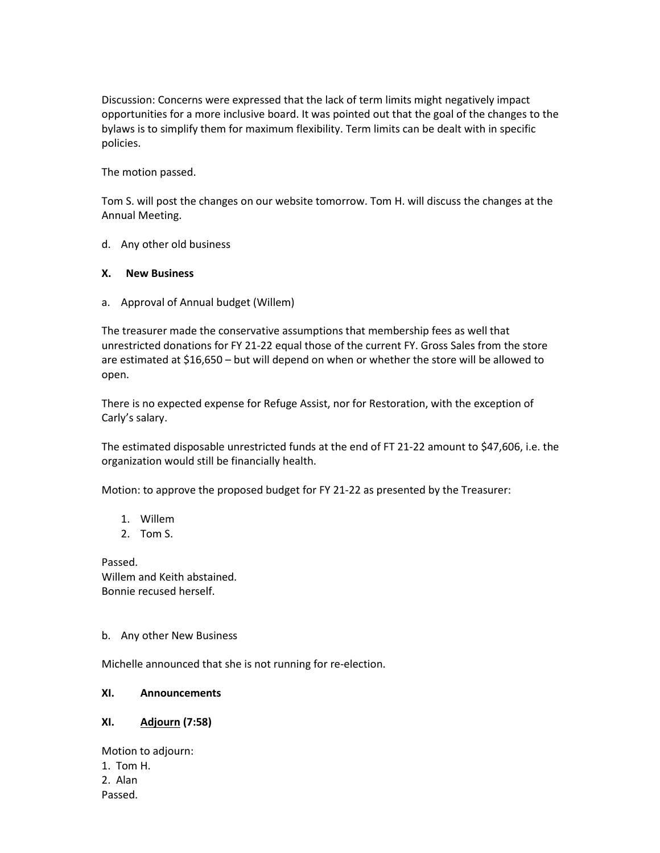Discussion: Concerns were expressed that the lack of term limits might negatively impact opportunities for a more inclusive board. It was pointed out that the goal of the changes to the bylaws is to simplify them for maximum flexibility. Term limits can be dealt with in specific policies.

The motion passed.

Tom S. will post the changes on our website tomorrow. Tom H. will discuss the changes at the Annual Meeting.

d. Any other old business

#### **X. New Business**

a. Approval of Annual budget (Willem)

The treasurer made the conservative assumptions that membership fees as well that unrestricted donations for FY 21-22 equal those of the current FY. Gross Sales from the store are estimated at \$16,650 – but will depend on when or whether the store will be allowed to open.

There is no expected expense for Refuge Assist, nor for Restoration, with the exception of Carly's salary.

The estimated disposable unrestricted funds at the end of FT 21-22 amount to \$47,606, i.e. the organization would still be financially health.

Motion: to approve the proposed budget for FY 21-22 as presented by the Treasurer:

- 1. Willem
- 2. Tom S.

Passed. Willem and Keith abstained. Bonnie recused herself.

#### b. Any other New Business

Michelle announced that she is not running for re-election.

### **XI. Announcements**

# **XI. Adjourn (7:58)**

Motion to adjourn: 1. Tom H. 2. Alan Passed.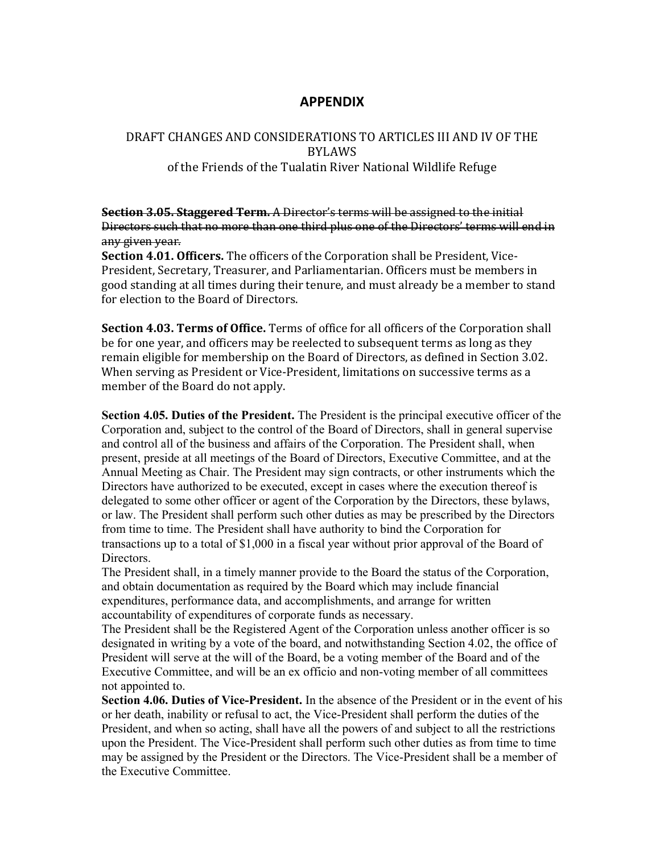# **APPENDIX**

# DRAFT CHANGES AND CONSIDERATIONS TO ARTICLES III AND IV OF THE BYLAWS of the Friends of the Tualatin River National Wildlife Refuge

**Section 3.05. Staggered Term.** A Director's terms will be assigned to the initial Directors such that no more than one third plus one of the Directors' terms will end in any given year.

**Section 4.01. Officers.** The officers of the Corporation shall be President, Vice-President, Secretary, Treasurer, and Parliamentarian. Officers must be members in good standing at all times during their tenure, and must already be a member to stand for election to the Board of Directors.

**Section 4.03. Terms of Office.** Terms of office for all officers of the Corporation shall be for one year, and officers may be reelected to subsequent terms as long as they remain eligible for membership on the Board of Directors, as defined in Section 3.02. When serving as President or Vice-President, limitations on successive terms as a member of the Board do not apply.

**Section 4.05. Duties of the President.** The President is the principal executive officer of the Corporation and, subject to the control of the Board of Directors, shall in general supervise and control all of the business and affairs of the Corporation. The President shall, when present, preside at all meetings of the Board of Directors, Executive Committee, and at the Annual Meeting as Chair. The President may sign contracts, or other instruments which the Directors have authorized to be executed, except in cases where the execution thereof is delegated to some other officer or agent of the Corporation by the Directors, these bylaws, or law. The President shall perform such other duties as may be prescribed by the Directors from time to time. The President shall have authority to bind the Corporation for transactions up to a total of \$1,000 in a fiscal year without prior approval of the Board of Directors.

The President shall, in a timely manner provide to the Board the status of the Corporation, and obtain documentation as required by the Board which may include financial expenditures, performance data, and accomplishments, and arrange for written accountability of expenditures of corporate funds as necessary.

The President shall be the Registered Agent of the Corporation unless another officer is so designated in writing by a vote of the board, and notwithstanding Section 4.02, the office of President will serve at the will of the Board, be a voting member of the Board and of the Executive Committee, and will be an ex officio and non-voting member of all committees not appointed to.

**Section 4.06. Duties of Vice-President.** In the absence of the President or in the event of his or her death, inability or refusal to act, the Vice-President shall perform the duties of the President, and when so acting, shall have all the powers of and subject to all the restrictions upon the President. The Vice-President shall perform such other duties as from time to time may be assigned by the President or the Directors. The Vice-President shall be a member of the Executive Committee.